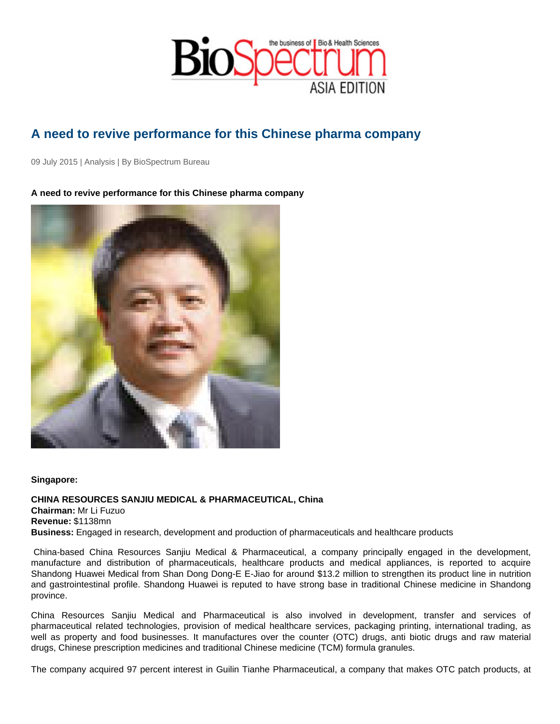## A need to revive performance for this Chinese pharma company

09 July 2015 | Analysis | By BioSpectrum Bureau

A need to revive performance for this Chinese pharma company

Singapore:

CHINA RESOURCES SANJIU MEDICAL & PHARMACEUTICAL, China Chairman: Mr Li Fuzuo Revenue: \$1138mn Business: Engaged in research, development and production of pharmaceuticals and healthcare products

 China-based China Resources Sanjiu Medical & Pharmaceutical, a company principally engaged in the development, manufacture and distribution of pharmaceuticals, healthcare products and medical appliances, is reported to acquire Shandong Huawei Medical from Shan Dong Dong-E E-Jiao for around \$13.2 million to strengthen its product line in nutrition and gastrointestinal profile. Shandong Huawei is reputed to have strong base in traditional Chinese medicine in Shandong province.

China Resources Sanjiu Medical and Pharmaceutical is also involved in development, transfer and services of pharmaceutical related technologies, provision of medical healthcare services, packaging printing, international trading, as well as property and food businesses. It manufactures over the counter (OTC) drugs, anti biotic drugs and raw material drugs, Chinese prescription medicines and traditional Chinese medicine (TCM) formula granules.

The company acquired 97 percent interest in Guilin Tianhe Pharmaceutical, a company that makes OTC patch products, at